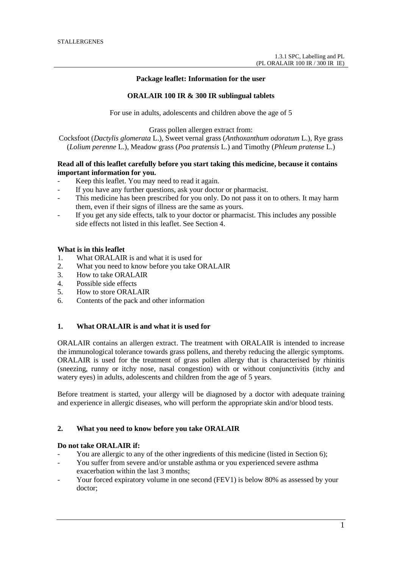**Package leaflet: Information for the user**

## **ORALAIR 100 IR & 300 IR sublingual tablets**

For use in adults, adolescents and children above the age of 5

Grass pollen allergen extract from:

Cocksfoot (*Dactylis glomerata* L.), Sweet vernal grass (*Anthoxanthum odoratum* L.), Rye grass (*Lolium perenne* L.), Meadow grass (*Poa pratensis* L.) and Timothy (*Phleum pratense* L.)

# **Read all of this leaflet carefully before you start taking this medicine, because it contains important information for you.**

- Keep this leaflet. You may need to read it again.
- If you have any further questions, ask your doctor or pharmacist.
- This medicine has been prescribed for you only. Do not pass it on to others. It may harm them, even if their signs of illness are the same as yours.
- If you get any side effects, talk to your doctor or pharmacist. This includes any possible side effects not listed in this leaflet. See Section 4.

# **What is in this leaflet**

- 1. What ORALAIR is and what it is used for
- 2. What you need to know before you take ORALAIR
- 3. How to take ORALAIR
- 4. Possible side effects
- 5. How to store ORALAIR
- 6. Contents of the pack and other information

# **1. What ORALAIR is and what it is used for**

ORALAIR contains an allergen extract. The treatment with ORALAIR is intended to increase the immunological tolerance towards grass pollens, and thereby reducing the allergic symptoms. ORALAIR is used for the treatment of grass pollen allergy that is characterised by rhinitis (sneezing, runny or itchy nose, nasal congestion) with or without conjunctivitis (itchy and watery eyes) in adults, adolescents and children from the age of 5 years.

Before treatment is started, your allergy will be diagnosed by a doctor with adequate training and experience in allergic diseases, who will perform the appropriate skin and/or blood tests.

### **2. What you need to know before you take ORALAIR**

#### **Do not take ORALAIR if:**

- You are allergic to any of the other ingredients of this medicine (listed in Section 6);
- You suffer from severe and/or unstable asthma or you experienced severe asthma exacerbation within the last 3 months;
- Your forced expiratory volume in one second (FEV1) is below 80% as assessed by your doctor;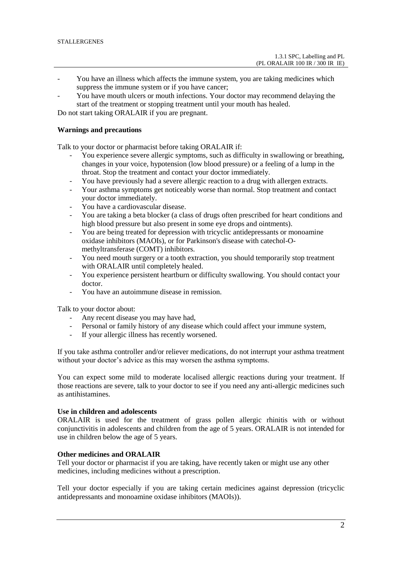- You have an illness which affects the immune system, you are taking medicines which suppress the immune system or if you have cancer;
- You have mouth ulcers or mouth infections. Your doctor may recommend delaying the start of the treatment or stopping treatment until your mouth has healed.

Do not start taking ORALAIR if you are pregnant.

## **Warnings and precautions**

Talk to your doctor or pharmacist before taking ORALAIR if:

- You experience severe allergic symptoms, such as difficulty in swallowing or breathing, changes in your voice, hypotension (low blood pressure) or a feeling of a lump in the throat. Stop the treatment and contact your doctor immediately.
- You have previously had a severe allergic reaction to a drug with allergen extracts.
- Your asthma symptoms get noticeably worse than normal. Stop treatment and contact your doctor immediately.
- You have a cardiovascular disease.
- You are taking a beta blocker (a class of drugs often prescribed for heart conditions and high blood pressure but also present in some eye drops and ointments).
- You are being treated for depression with tricyclic antidepressants or monoamine oxidase inhibitors (MAOIs), or for Parkinson's disease with catechol-Omethyltransferase (COMT) inhibitors.
- You need mouth surgery or a tooth extraction, you should temporarily stop treatment with ORALAIR until completely healed.
- You experience persistent heartburn or difficulty swallowing. You should contact your doctor.
- You have an autoimmune disease in remission.

Talk to your doctor about:

- Any recent disease you may have had,
- Personal or family history of any disease which could affect your immune system,
- If your allergic illness has recently worsened.

If you take asthma controller and/or reliever medications, do not interrupt your asthma treatment without your doctor's advice as this may worsen the asthma symptoms.

You can expect some mild to moderate localised allergic reactions during your treatment. If those reactions are severe, talk to your doctor to see if you need any anti-allergic medicines such as antihistamines.

#### **Use in children and adolescents**

ORALAIR is used for the treatment of grass pollen allergic rhinitis with or without conjunctivitis in adolescents and children from the age of 5 years. ORALAIR is not intended for use in children below the age of 5 years.

# **Other medicines and ORALAIR**

Tell your doctor or pharmacist if you are taking, have recently taken or might use any other medicines, including medicines without a prescription.

Tell your doctor especially if you are taking certain medicines against depression (tricyclic antidepressants and monoamine oxidase inhibitors (MAOIs)).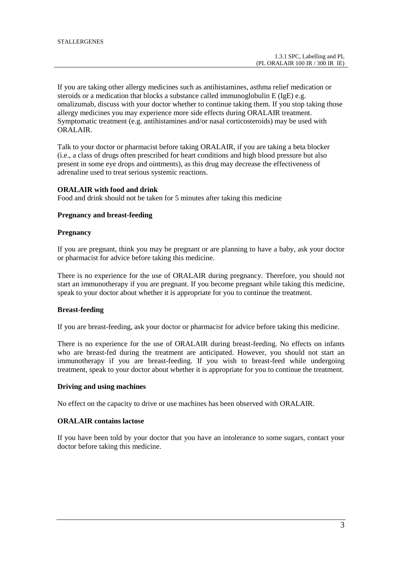If you are taking other allergy medicines such as antihistamines, asthma relief medication or steroids or a medication that blocks a substance called immunoglobulin E (IgE) e.g. omalizumab, discuss with your doctor whether to continue taking them. If you stop taking those allergy medicines you may experience more side effects during ORALAIR treatment. Symptomatic treatment (e.g. antihistamines and/or nasal corticosteroids) may be used with ORALAIR.

Talk to your doctor or pharmacist before taking ORALAIR, if you are taking a beta blocker (i.e., a class of drugs often prescribed for heart conditions and high blood pressure but also present in some eye drops and ointments), as this drug may decrease the effectiveness of adrenaline used to treat serious systemic reactions.

# **ORALAIR with food and drink**

Food and drink should not be taken for 5 minutes after taking this medicine

#### **Pregnancy and breast-feeding**

#### **Pregnancy**

If you are pregnant, think you may be pregnant or are planning to have a baby, ask your doctor or pharmacist for advice before taking this medicine.

There is no experience for the use of ORALAIR during pregnancy. Therefore, you should not start an immunotherapy if you are pregnant. If you become pregnant while taking this medicine, speak to your doctor about whether it is appropriate for you to continue the treatment.

#### **Breast-feeding**

If you are breast-feeding, ask your doctor or pharmacist for advice before taking this medicine.

There is no experience for the use of ORALAIR during breast-feeding. No effects on infants who are breast-fed during the treatment are anticipated. However, you should not start an immunotherapy if you are breast-feeding. If you wish to breast-feed while undergoing treatment, speak to your doctor about whether it is appropriate for you to continue the treatment.

## **Driving and using machines**

No effect on the capacity to drive or use machines has been observed with ORALAIR.

# **ORALAIR contains lactose**

If you have been told by your doctor that you have an intolerance to some sugars, contact your doctor before taking this medicine.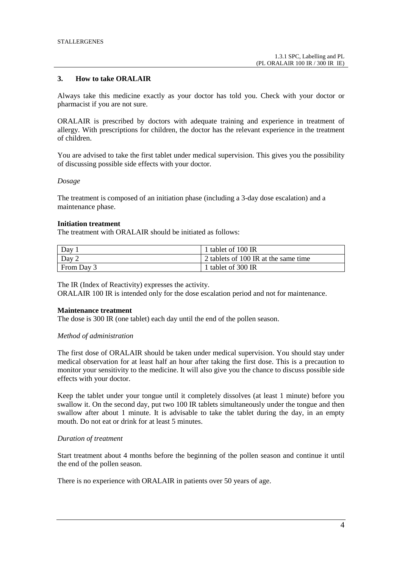## **3. How to take ORALAIR**

Always take this medicine exactly as your doctor has told you. Check with your doctor or pharmacist if you are not sure.

ORALAIR is prescribed by doctors with adequate training and experience in treatment of allergy. With prescriptions for children, the doctor has the relevant experience in the treatment of children.

You are advised to take the first tablet under medical supervision. This gives you the possibility of discussing possible side effects with your doctor.

#### *Dosage*

The treatment is composed of an initiation phase (including a 3-day dose escalation) and a maintenance phase.

#### **Initiation treatment**

The treatment with ORALAIR should be initiated as follows:

| Day            | 1 tablet of 100 IR                   |
|----------------|--------------------------------------|
| Day $\sqrt{2}$ | 2 tablets of 100 IR at the same time |
| From Day 3     | 1 tablet of 300 IR                   |

The IR (Index of Reactivity) expresses the activity.

ORALAIR 100 IR is intended only for the dose escalation period and not for maintenance.

#### **Maintenance treatment**

The dose is 300 IR (one tablet) each day until the end of the pollen season.

#### *Method of administration*

The first dose of ORALAIR should be taken under medical supervision. You should stay under medical observation for at least half an hour after taking the first dose. This is a precaution to monitor your sensitivity to the medicine. It will also give you the chance to discuss possible side effects with your doctor.

Keep the tablet under your tongue until it completely dissolves (at least 1 minute) before you swallow it. On the second day, put two 100 IR tablets simultaneously under the tongue and then swallow after about 1 minute. It is advisable to take the tablet during the day, in an empty mouth. Do not eat or drink for at least 5 minutes.

#### *Duration of treatment*

Start treatment about 4 months before the beginning of the pollen season and continue it until the end of the pollen season.

There is no experience with ORALAIR in patients over 50 years of age.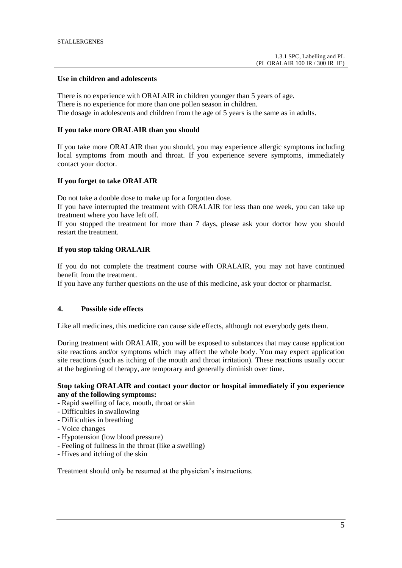#### **Use in children and adolescents**

There is no experience with ORALAIR in children younger than 5 years of age. There is no experience for more than one pollen season in children. The dosage in adolescents and children from the age of 5 years is the same as in adults.

#### **If you take more ORALAIR than you should**

If you take more ORALAIR than you should, you may experience allergic symptoms including local symptoms from mouth and throat. If you experience severe symptoms, immediately contact your doctor.

#### **If you forget to take ORALAIR**

Do not take a double dose to make up for a forgotten dose.

If you have interrupted the treatment with ORALAIR for less than one week, you can take up treatment where you have left off.

If you stopped the treatment for more than 7 days, please ask your doctor how you should restart the treatment.

#### **If you stop taking ORALAIR**

If you do not complete the treatment course with ORALAIR, you may not have continued benefit from the treatment.

If you have any further questions on the use of this medicine, ask your doctor or pharmacist.

## **4. Possible side effects**

Like all medicines, this medicine can cause side effects, although not everybody gets them.

During treatment with ORALAIR, you will be exposed to substances that may cause application site reactions and/or symptoms which may affect the whole body. You may expect application site reactions (such as itching of the mouth and throat irritation). These reactions usually occur at the beginning of therapy, are temporary and generally diminish over time.

## **Stop taking ORALAIR and contact your doctor or hospital immediately if you experience any of the following symptoms:**

- Rapid swelling of face, mouth, throat or skin
- Difficulties in swallowing
- Difficulties in breathing
- Voice changes
- Hypotension (low blood pressure)
- Feeling of fullness in the throat (like a swelling)
- Hives and itching of the skin

Treatment should only be resumed at the physician's instructions.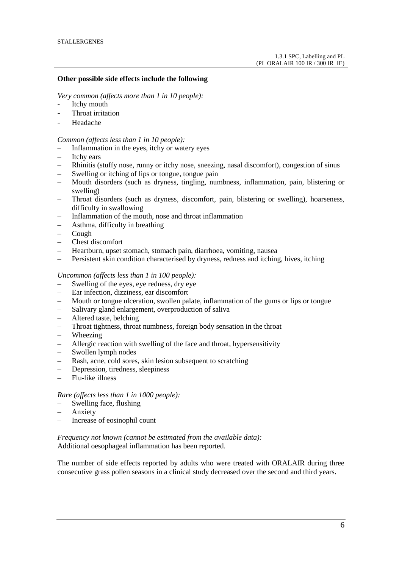## **Other possible side effects include the following**

*Very common (affects more than 1 in 10 people):*

- Itchy mouth
- Throat irritation
- Headache

#### *Common (affects less than 1 in 10 people):*

- Inflammation in the eyes, itchy or watery eyes
- Itchy ears
- Rhinitis (stuffy nose, runny or itchy nose, sneezing, nasal discomfort), congestion of sinus
- Swelling or itching of lips or tongue, tongue pain
- Mouth disorders (such as dryness, tingling, numbness, inflammation, pain, blistering or swelling)
- Throat disorders (such as dryness, discomfort, pain, blistering or swelling), hoarseness, difficulty in swallowing
- Inflammation of the mouth, nose and throat inflammation
- Asthma, difficulty in breathing
- Cough
- Chest discomfort
- Heartburn, upset stomach, stomach pain, diarrhoea, vomiting, nausea
- Persistent skin condition characterised by dryness, redness and itching, hives, itching

#### *Uncommon (affects less than 1 in 100 people):*

- Swelling of the eyes, eye redness, dry eye
- Ear infection, dizziness, ear discomfort
- Mouth or tongue ulceration, swollen palate, inflammation of the gums or lips or tongue
- Salivary gland enlargement, overproduction of saliva
- Altered taste, belching
- Throat tightness, throat numbness, foreign body sensation in the throat
- Wheezing
- Allergic reaction with swelling of the face and throat, hypersensitivity
- Swollen lymph nodes
- Rash, acne, cold sores, skin lesion subsequent to scratching
- Depression, tiredness, sleepiness
- Flu-like illness

## *Rare (affects less than 1 in 1000 people):*

- Swelling face, flushing
- Anxiety
- Increase of eosinophil count

*Frequency not known (cannot be estimated from the available data):* Additional oesophageal inflammation has been reported.

The number of side effects reported by adults who were treated with ORALAIR during three consecutive grass pollen seasons in a clinical study decreased over the second and third years.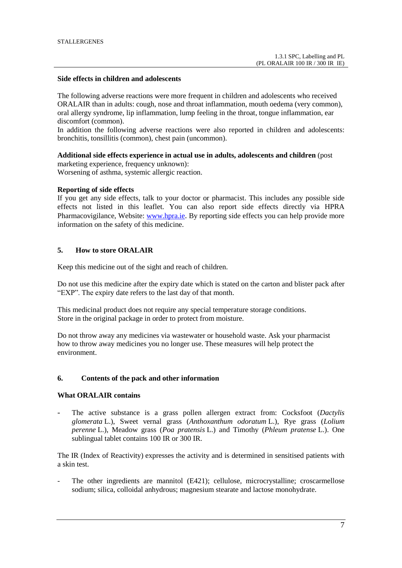#### **Side effects in children and adolescents**

The following adverse reactions were more frequent in children and adolescents who received ORALAIR than in adults: cough, nose and throat inflammation, mouth oedema (very common), oral allergy syndrome, lip inflammation, lump feeling in the throat, tongue inflammation, ear discomfort (common).

In addition the following adverse reactions were also reported in children and adolescents: bronchitis, tonsillitis (common), chest pain (uncommon).

# **Additional side effects experience in actual use in adults, adolescents and children** (post

marketing experience, frequency unknown): Worsening of asthma, systemic allergic reaction.

# **Reporting of side effects**

If you get any side effects, talk to your doctor or pharmacist. This includes any possible side effects not listed in this leaflet. You can also report side effects directly via HPRA Pharmacovigilance, Website: [www.hpra.ie](http://www.hpra.ie/). By reporting side effects you can help provide more information on the safety of this medicine.

## **5. How to store ORALAIR**

Keep this medicine out of the sight and reach of children.

Do not use this medicine after the expiry date which is stated on the carton and blister pack after "EXP". The expiry date refers to the last day of that month.

This medicinal product does not require any special temperature storage conditions. Store in the original package in order to protect from moisture.

Do not throw away any medicines via wastewater or household waste. Ask your pharmacist how to throw away medicines you no longer use. These measures will help protect the environment.

#### **6. Contents of the pack and other information**

## **What ORALAIR contains**

The active substance is a grass pollen allergen extract from: Cocksfoot (*Dactylis glomerata* L.), Sweet vernal grass (*Anthoxanthum odoratum* L.), Rye grass (*Lolium perenne* L.), Meadow grass (*Poa pratensis* L.) and Timothy (*Phleum pratense* L.). One sublingual tablet contains 100 IR or 300 IR.

The IR (Index of Reactivity) expresses the activity and is determined in sensitised patients with a skin test.

The other ingredients are mannitol (E421); cellulose, microcrystalline; croscarmellose sodium; silica, colloidal anhydrous; magnesium stearate and lactose monohydrate.